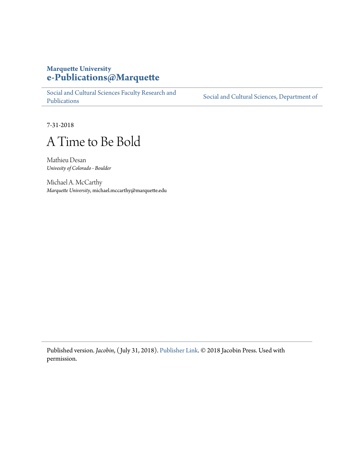# **Marquette University [e-Publications@Marquette](https://epublications.marquette.edu/)**

[Social and Cultural Sciences Faculty Research and](https://epublications.marquette.edu/socs_fac) [Publications](https://epublications.marquette.edu/socs_fac)

[Social and Cultural Sciences, Department of](https://epublications.marquette.edu/socs)

7-31-2018

# A Time to Be Bold

Mathieu Desan *Univesity of Colorado - Boulder*

Michael A. McCarthy *Marquette University*, michael.mccarthy@marquette.edu

Published version. *Jacobin*, ( July 31, 2018). [Publisher Link](https://jacobinmag.com/2018/07/socialism-democrats-alexandria-ocasio-cortez). © 2018 Jacobin Press. Used with permission.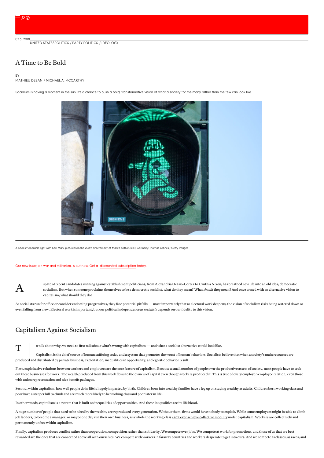07.31.2018<br>[UNITED](https://jacobinmag.com/location/united-states) STATES[POLITICS](https://jacobinmag.com/category/electoral-politics) / PARTY POLITICS / [IDEOLOGY](https://jacobinmag.com/category/ideology)

## A Time to Be Bold

A

# BY<br>[MATHIEU](https://jacobinmag.com/author/mathieu-desan) DESAN / MICHAEL A. [MCCARTHY](https://jacobinmag.com/author/michael-a-mccarthy)

Socialism is having a moment in the sun. It's a chance to push a bold, transformative vision of what a society for the many rather than the few can look like.



A pedestrian traffic light with Karl Marx pictured on the 200th anniversary of Marx's birth in Trier, Germany. Thomas Lohnes / Getty Images

#### Our new issue, on war and militarism, is out now. Get a discounted [subscription](https://jacobinmag.com/subscribe/?code=WARISARACKET) today.

spate of recent candidates running against establishment politicians, from Alexandria Ocasio-Cortez to Cynthia Nixon, has breathed new life into an old idea, democratic socialism. But when someone proclaims themselves to be a democratic socialist, what do they mean? What *should* they mean? And once armed with an alternative vision to capitalism, what should they do?

As socialists run for office or consider endorsing progressives, they face potential pitfalls—most importantly that as electoral work deepens, the vision of socialism risks being watered down or even falling from view. Electoral work is important, but our political independence *associalists* depends on our fidelity to this vision.

## Capitalism Against Socialism

 $\mathbf T$ o talk about why, we need to first talk about what's wrong with capitalism—and what a socialist alternative would look like.

Capitalism is the chief source of human suffering today and a system that promotes the worst of human behaviors. Socialists believe that when a society's main resources are produced and distributed by private business, exploitation, inequalities in opportunity, and egoistic behavior result.

First, exploitative relations between workers and employers are the core feature of capitalism. Because a small number of people own the productive assets of society, most people have to seek out these businesses for work. The wealth produced from this work flows to the owners of capital even though workers produced it. This is true of every employer-employee relation, even those with union representation and nice benefit packages.

Second, within capitalism, how well people do in life is hugely impacted by birth. Children born into wealthy families have a leg up on staying wealthy as adults. Children born working class and poor have a steeper hill to climb and are much more likely to be working class and poor later in life.

In other words, capitalism isa system that is built on inequalities of opportunities. And these inequalities are its life blood.

A huge number of people that need to be hired by the wealthy are reproduced every generation. Without them, firms would have nobody to exploit. While some employees might be able to climb job ladders, to become a manager, or maybe one day run their own business, as a whole the working class can't ever achieve [collective](https://www.uvm.edu/~fmagdoff/employment Jan.12.11/structure of proletarian unfreedom.pdf) mobility under capitalism. Workers are collectively and permanently unfree within capitalism.

Finally, capitalism produces conflict rather than cooperation, competition rather than solidarity. We compete over jobs. We compete at work for promotions, and those of us that are best rewarded are the ones that are concerned above all with ourselves. We compete with workers in faraway countries and workers desperate to get into ours. And we compete as classes, as races, and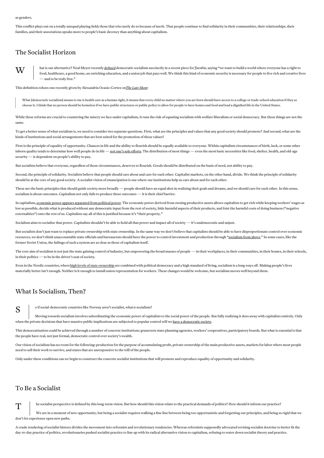This conflict plays out on a totally unequal playing field; those that win rarely do so because of merit. That people continue to find solidarity in their communities, their relationships, their families, and their associations speaks more to people's basic decency than anything about capitalism.

# The Socialist Horizon

 $\mathbf{W}$   $\begin{array}{c} \mathbf{h} \ \mathbf{h} \end{array}$ hat is our alternative? Neal Meyer recently [defined](https://jacobinmag.com/2018/07/democratic-socialism-bernie-sanders-social-democracy-alexandria-ocasio-cortez) democratic socialism succinctly in a recent piece for*Jacobin*, saying "we want to build a world where everyone has a right to food, healthcare, a good home, an enriching education, and a union job that pays well. We think this kind of economic security is necessary for people to live rich and creative lives - and to be truly free."

This definition echoes one recently given by Alexandria Ocasio-Cortez on*The Late [Show](https://www.bustle.com/p/what-do-democratic-socialists-believe-alexandria-ocasio-cortez-sums-it-up-in-her-own-words-9659030)*:

What [democratic socialism] means to me is health care as a human right, it means that every child no matter where you are born should have access to a college or trade-school education if they so choose it. I think that no person should be homeless if we have public structures or public policy to allow for people to have homes and food and lead a dignified life in the United States.

While these reforms are crucial to countering the misery we face under capitalism, it runs the risk of equating socialism with welfare liberalism or social democracy. But these things are not the same.

To get a better sense of what socialism is, we need to consider two separate questions. First, what are the principles and values that any good society should promote? And second, what are the kinds of institutions and social arrangements that are best suited for the promotion of those values?

First is the principle of equality of opportunity. Chances in life and the ability to flourish should be equally available to everyone. Within capitalism circumstances of birth, luck, or some other inborn quality tends to determine how well people do in life —not one's sole efforts. The distribution of most things — even the most basic necessities like food, shelter, health, and old-age security—is dependent on people's ability to pay.

But socialists believe that everyone, regardless of those circumstances, deserves to flourish. Goods should be distributed on the basis of need, not ability to pay.

Second, the principle of solidarity. Socialists believe that people should care about and care for each other. Capitalist markets, on the other hand, divide. We think the principle of solidarity should be at the core of any good society. A socialist vision of emancipation is one where our institutions help us care about and for each other.

These are the basic principles that should guide society more broadly — people should have an equal shot in realizing their goals and dreams, and we should care for each other. In this sense, socialism is about outcomes. Capitalism not only fails to produce these outcomes — it is their chief barrier.

In capitalism, economic power appears [separated](https://newleftreview.org/I/127/ellen-meiksins-wood-the-separation-of-the-economic-and-the-political-in-capitalism) from political power. The economic power derived from owning productive assets allows capitalists to get rich while keeping workers' wages as low as possible, decide what is produced without any democratic input from the rest of society, hide harmful aspects of their products, and foist the harmful costs of doing business ("negative externalities") onto the rest of us. Capitalists say all of this is justified because it's "their property."

Socialism aims to socialize that power. Capitalists shouldn't be able to hold all that power and impact all of society—it's undemocratic and unjust.

But socialists don't just want to replace private ownership with state ownership. In the same way we don't believe that capitalists should be able to have disproportionate control over economic resources, we don't think unaccountable state officials and bureaucrats should have the power to control investment and production through ["socialism](https://www.marxists.org/archive/draper/1966/twosouls/index.htm) from above." In some cases, like the former Soviet Union, the failings of such a system are as clear as those of capitalism itself.

The core aim of socialism is not just the state gaining control of industry, but empowering the broad masses of people — in their workplaces, in their communities, in their homes, in their schools, in their politics—to be in the driver's seat of society.

Even in the Nordic countries, where high levels of state [ownership](http://peoplespolicyproject.org/2018/07/22/nordic-state-ownership-of-enterprise-is-a-real-thing/) are combined with political democracy and a high standard of living, socialism is a long ways off. Making people's lives materially better isn't enough. Neither is it enough to install union representation for workers. These changes would be welcome, but socialism moves well beyond them.

### What Is Socialism, Then?

S

o if social-democratic countries like Norway aren't socialist, what*is* socialism?

Moving towards socialism involves subordinating the economic power of capitalists to the social power of the people. But fully realizing it does away with capitalists entirely. Only when the private decisions that have massive public implications are subjected to popular control will we have a [democratic](https://jacobinmag.com/2018/07/democratic-socialism-democracy-ocasio-cortez) society.

This democratization could be achieved through a number of concrete institutions: grassroots state planning agencies, workers' cooperatives, participatory boards. But what is essential is that the people have real, not just formal, democratic control over society's wealth.

Our vision of socialism has no room for the following: production for the purpose of accumulating profit, private ownership of the main productive assets, markets for labor where most people need to sell their work to survive, and states that are unresponsive to the will of the people.

Only under these conditions can we begin to construct the concrete socialist institutions that will promote and reproduce equality of opportunity and solidarity.

### To Be a Socialist

he socialist perspective is defined by this long-term vision. But how should this vision relate to the practical demands of politics? How should it inform our practice?

 $T$ We are in a moment of new opportunity, but being a socialist requires walking a fine line between being too opportunistic and forgetting our principles, and being so rigid that we don't let experience open new paths.

A crude rendering of socialist history divides the movement into reformist and revolutionary tendencies. Whereas reformists supposedly advocated revising socialist doctrine to better fit the day-to-day practice of politics, revolutionaries pushed socialist practice to line up with its radical alternative vision to capitalism, refusing to water down socialist theory and practice.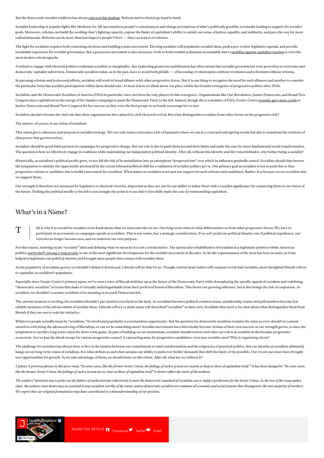But the democratic socialist tradition has always [rejected](https://www.marxists.org/archive/blum/1920/speech.htm) this dualism. Reform and revolution go hand in hand.

Socialist leadership in popular fights like Medicare for All can transform people's consciousness and change perceptions of what's politically possible, eventually leading to support for socialist goals. Moreover, reforms can build the working class's fighting capacity, expose the limits of capitalism's ability to satisfy our sense of justice, equality, and solidarity, and pave the way for more radical demands. Reforms can do more than just improve people's lives—they can lead to revolution.

The fight for socialism requires both contesting elections and building a mass movement. Electing socialists will popularize socialist ideas, push a pro-worker legislative agenda, and provide invaluable experience for socialist governance. But a grassroots movement is also necessary, both to hold socialist politicians accountable and to mobilize against [capitalist](https://www.jacobinmag.com/2016/09/chile-coup-santiago-allende-social-democracy-september-11-2) reaction to even the most modest reform agenda.

A refusal to engage with electoral politics condemns socialists to marginality. But neglecting grassroots mobilization has often meant that socialist governments were powerless to overcome antidemocratic capitalist subversion. Democratic socialists today, as in the past, have to avoid both pitfalls — of becoming revolutionaries without revolution and reformists without reforms.

In pursuing reforms and in electoral efforts, socialists will work in broad alliance with other progressive forces. But it is one thing to recognize the need for such alliances and another to consider the particular form that socialist participation within them should take. At issue is how we think about our place within the broader resurgence of progressive politics since 2016.

Socialists, and the Democratic Socialists of America (DSA) in particular, have not been the only players in this resurgence. Organizations like Our Revolution, Justice Democrats, and Brand New Congress have capitalized on the energy of the Sanders campaign to push the Democratic Party to the left. Indeed, though she is a member of DSA, Ocasio-Cortez [recently](https://www.jacobinmag.com/2018/08/alexandria-ocasio-cortez-interview-democratic-primary) gave more credit to Justice Democrats and Brand New Congress for her success, as they were the first groups to seriously encourage her to run.

Socialists should welcome the vital role that these organizations have played in a left electoral revival. But what distinguishes socialists from other forces on the progressive left?

The answer, of course, is our vision of socialism.

This vision gives coherence and purpose to socialist strategy. We not only want to introduce a bit of humanity where we can in a cruel and unforgiving world, but also to transform the relations of class power that govern society.

Socialists should be good-faith partners in campaigns for progressive change. But our role is also to push them beyond their limits and make the case for more fundamental social transformation. The question is how we effectively engage in coalitions while maintaining our independent political identity. After all, without this identity and the vision behind it, why bother being a socialist?

Historically, as socialism's political profile grew, so too did the risk of its assimilation into an amorphous "progressivism" over which its influence gradually waned. Socialists should thus beware the temptation to mistake the opportunity presented by the recent leftward political shift for a validation of socialist politics per se. Our primary goal as socialists is not to push this or that progressive reform or candidate, but to build a movement for socialism. What makes us socialists is not just our support for such reforms and candidates. Rather, it is because we are socialists that we support them.

Our strength is therefore not measured by legislative or electoral victories, important as they are, but by our ability to infuse these with a socialist significance by connecting them to our vision of the future. Pushing the political needle to the left is not enough; the point is to use this to forcefully make the case for transcending capitalism.

## What's in a Name?

 $\mathsf T$ his is why it is crucial for socialists to be frank about what we want and who we are. Our long-term vision is what differentiates us from other progressive forces. We have to participate in movements or campaigns openly as socialists. This is not vanity, but a strategic consideration. If we soft-pedal our political identity out of political expediency, our victories no longer become ours, and we undercut our own purpose.

For this reason, insisting on the "socialist" label and defining what we mean by it is not a trivial matter. The spectacular rehabilitation of socialism as a legitimate position within American politics, [particularly](https://www.bloomberg.com/news/articles/2017-11-06/get-rid-of-capitalism-millennials-are-ready-to-talk-about-it) among young people, is one of the most significant developments for the socialist movement in decades. So far the capaciousness of the term has been an asset, as it has helped to legitimize our political identity and brought more people into contact with socialist ideas.

As the popularity of socialism grows, we shouldn't define it downward. Liberals will do that for us. Though centrist dead-enders will continue to red-bait socialists, more farsighted liberals will try to capitalize on socialism's popularity.

Especially since Ocasio-Cortez's primary upset, we've seen a wave of liberals hold her up as the future of the Democratic Party while downplaying the specific appeal of socialism and redefining "democratic socialism" in terms that make it virtually indistinguishable from their preferred brand of liberalism. This shows our growing influence, but it also brings the risk of cooptation. As socialists, we shouldn't evacuate socialism of its meaning as we push Democrats left.

The current moment is exciting, but socialists shouldn't pat ourselves too hard on the back. As socialism becomes political common sense, membership counts and poll numbers become less reliable measures of the advancement of socialist ideas. Liberals will try to claim many self-described "socialists" as their own. Socialists thus need to be clear about what distinguishes them from liberals if they are not to cede the initiative.

Whatever people actually mean by "socialism," its newfound popularity is a tremendous opportunity. But the question for democratic socialism remains the same as ever: should we content ourselves with being the advanced wing of liberalism, or can we be something more? Socialist movements have historically become victims of their own success: as our strength grows, so does the temptation to sacrifice long-term vision for short-term gains. As part of building on our momentum, socialists should reckon with what our role is *associalists*in the broader progressive ecosystem. Are we just the shock troops for various progressive causes? A canvassing army for progressive candidates, even non-socialist ones? Who is organizing whom?

The challenge for socialists has always been to live in the tension between our commitment to total transformation and the exigencies of practical politics. But our identity as socialists ultimately hangs on our long-term vision of socialism. It is what defines us and what sustains our ability to push ever-bolder demands that shift the limits of the possible. Our recent successes have brought new opportunities for growth. As we take advantage of them, we should insist on this vision. After all, what are we without it?

Update: A previous phrase in this piece read: "In some cases, like the former Soviet Union, the failings of such a system are nearly as deep as those of capitalism itself." It has been changed to "In some cases, like the former Soviet Union, the failings of such a system are as clear as those of capitalism itself" to better reflect the views of the authors.

The authors' intention was to point out the failure of authoritarian collectivism to meet the democratic standard of socialism, not to imply a preference for the Soviet Union. As the rest of the essay makes clear, the authors view democracy as essential to any socialism worthy of the name, and as democratic socialists we condemn all economic and social systems that disempower the vast majority of workers. *We regret that our original formulation may have contributed to a misunderstanding of our position.*